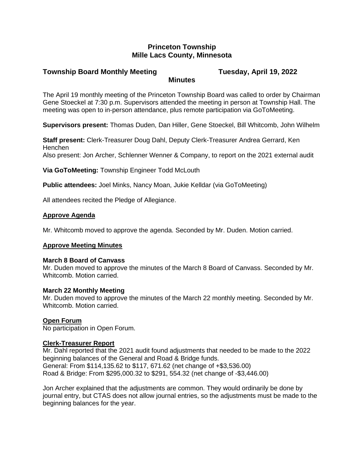## **Princeton Township Mille Lacs County, Minnesota**

### **Township Board Monthly Meeting Tuesday, April 19, 2022 Minutes**

The April 19 monthly meeting of the Princeton Township Board was called to order by Chairman Gene Stoeckel at 7:30 p.m. Supervisors attended the meeting in person at Township Hall. The meeting was open to in-person attendance, plus remote participation via GoToMeeting.

**Supervisors present:** Thomas Duden, Dan Hiller, Gene Stoeckel, Bill Whitcomb, John Wilhelm

**Staff present:** Clerk-Treasurer Doug Dahl, Deputy Clerk-Treasurer Andrea Gerrard, Ken Henchen Also present: Jon Archer, Schlenner Wenner & Company, to report on the 2021 external audit

**Via GoToMeeting:** Township Engineer Todd McLouth

**Public attendees:** Joel Minks, Nancy Moan, Jukie Kelldar (via GoToMeeting)

All attendees recited the Pledge of Allegiance.

## **Approve Agenda**

Mr. Whitcomb moved to approve the agenda. Seconded by Mr. Duden. Motion carried.

#### **Approve Meeting Minutes**

#### **March 8 Board of Canvass**

Mr. Duden moved to approve the minutes of the March 8 Board of Canvass. Seconded by Mr. Whitcomb. Motion carried.

#### **March 22 Monthly Meeting**

Mr. Duden moved to approve the minutes of the March 22 monthly meeting. Seconded by Mr. Whitcomb. Motion carried.

#### **Open Forum**

No participation in Open Forum.

#### **Clerk-Treasurer Report**

Mr. Dahl reported that the 2021 audit found adjustments that needed to be made to the 2022 beginning balances of the General and Road & Bridge funds. General: From \$114,135.62 to \$117, 671.62 (net change of +\$3,536.00) Road & Bridge: From \$295,000.32 to \$291, 554.32 (net change of -\$3,446.00)

Jon Archer explained that the adjustments are common. They would ordinarily be done by journal entry, but CTAS does not allow journal entries, so the adjustments must be made to the beginning balances for the year.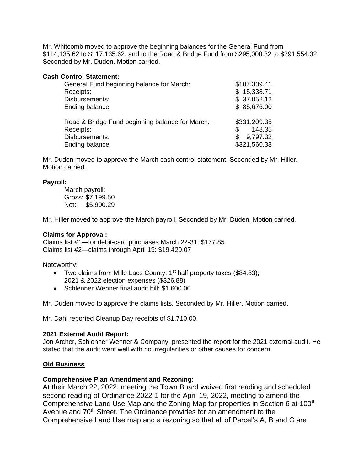Mr. Whitcomb moved to approve the beginning balances for the General Fund from \$114,135.62 to \$117,135.62, and to the Road & Bridge Fund from \$295,000.32 to \$291,554.32. Seconded by Mr. Duden. Motion carried.

### **Cash Control Statement:**

| General Fund beginning balance for March:                                                         | \$107,339.41                                             |
|---------------------------------------------------------------------------------------------------|----------------------------------------------------------|
| Receipts:                                                                                         | \$15,338.71                                              |
| Disbursements:                                                                                    | \$37,052.12                                              |
| Ending balance:                                                                                   | \$85,676.00                                              |
| Road & Bridge Fund beginning balance for March:<br>Receipts:<br>Disbursements:<br>Ending balance: | \$331,209.35<br>148.35<br>9,797.32<br>S.<br>\$321,560.38 |

Mr. Duden moved to approve the March cash control statement. Seconded by Mr. Hiller. Motion carried.

#### **Payroll:**

March payroll: Gross: \$7,199.50 Net: \$5,900.29

Mr. Hiller moved to approve the March payroll. Seconded by Mr. Duden. Motion carried.

#### **Claims for Approval:**

Claims list #1—for debit-card purchases March 22-31: \$177.85 Claims list #2—claims through April 19: \$19,429.07

Noteworthy:

- Two claims from Mille Lacs County:  $1<sup>st</sup>$  half property taxes (\$84.83); 2021 & 2022 election expenses (\$326.88)
- Schlenner Wenner final audit bill: \$1,600.00

Mr. Duden moved to approve the claims lists. Seconded by Mr. Hiller. Motion carried.

Mr. Dahl reported Cleanup Day receipts of \$1,710.00.

#### **2021 External Audit Report:**

Jon Archer, Schlenner Wenner & Company, presented the report for the 2021 external audit. He stated that the audit went well with no irregularities or other causes for concern.

#### **Old Business**

#### **Comprehensive Plan Amendment and Rezoning:**

At their March 22, 2022, meeting the Town Board waived first reading and scheduled second reading of Ordinance 2022-1 for the April 19, 2022, meeting to amend the Comprehensive Land Use Map and the Zoning Map for properties in Section 6 at 100<sup>th</sup> Avenue and 70<sup>th</sup> Street. The Ordinance provides for an amendment to the Comprehensive Land Use map and a rezoning so that all of Parcel's A, B and C are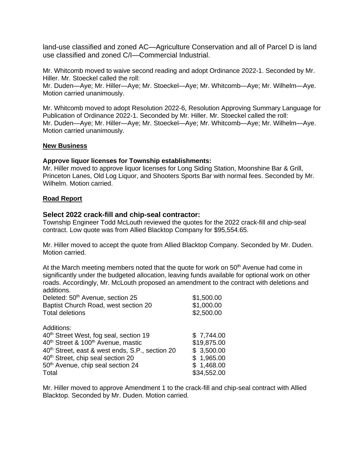land-use classified and zoned AC—Agriculture Conservation and all of Parcel D is land use classified and zoned C/I—Commercial Industrial.

Mr. Whitcomb moved to waive second reading and adopt Ordinance 2022-1. Seconded by Mr. Hiller. Mr. Stoeckel called the roll:

Mr. Duden—Aye; Mr. Hiller—Aye; Mr. Stoeckel—Aye; Mr. Whitcomb—Aye; Mr. Wilhelm—Aye. Motion carried unanimously.

Mr. Whitcomb moved to adopt Resolution 2022-6, Resolution Approving Summary Language for Publication of Ordinance 2022-1. Seconded by Mr. Hiller. Mr. Stoeckel called the roll: Mr. Duden—Aye; Mr. Hiller—Aye; Mr. Stoeckel—Aye; Mr. Whitcomb—Aye; Mr. Wilhelm—Aye. Motion carried unanimously.

## **New Business**

## **Approve liquor licenses for Township establishments:**

Mr. Hiller moved to approve liquor licenses for Long Siding Station, Moonshine Bar & Grill, Princeton Lanes, Old Log Liquor, and Shooters Sports Bar with normal fees. Seconded by Mr. Wilhelm. Motion carried.

## **Road Report**

## **Select 2022 crack-fill and chip-seal contractor:**

Township Engineer Todd McLouth reviewed the quotes for the 2022 crack-fill and chip-seal contract. Low quote was from Allied Blacktop Company for \$95,554.65.

Mr. Hiller moved to accept the quote from Allied Blacktop Company. Seconded by Mr. Duden. Motion carried.

At the March meeting members noted that the quote for work on  $50<sup>th</sup>$  Avenue had come in significantly under the budgeted allocation, leaving funds available for optional work on other roads. Accordingly, Mr. McLouth proposed an amendment to the contract with deletions and additions.

| Deleted: 50 <sup>th</sup> Avenue, section 25                | \$1,500.00  |
|-------------------------------------------------------------|-------------|
| Baptist Church Road, west section 20                        | \$1,000.00  |
| <b>Total deletions</b>                                      | \$2,500.00  |
| Additions:                                                  |             |
| 40 <sup>th</sup> Street West, fog seal, section 19          | \$7,744.00  |
| 40 <sup>th</sup> Street & 100 <sup>th</sup> Avenue, mastic  | \$19,875.00 |
| 40 <sup>th</sup> Street, east & west ends, S.P., section 20 | \$3,500.00  |
| 40 <sup>th</sup> Street, chip seal section 20               | \$1,965.00  |
| 50 <sup>th</sup> Avenue, chip seal section 24               | \$1,468.00  |
| Total                                                       | \$34,552.00 |

Mr. Hiller moved to approve Amendment 1 to the crack-fill and chip-seal contract with Allied Blacktop. Seconded by Mr. Duden. Motion carried.